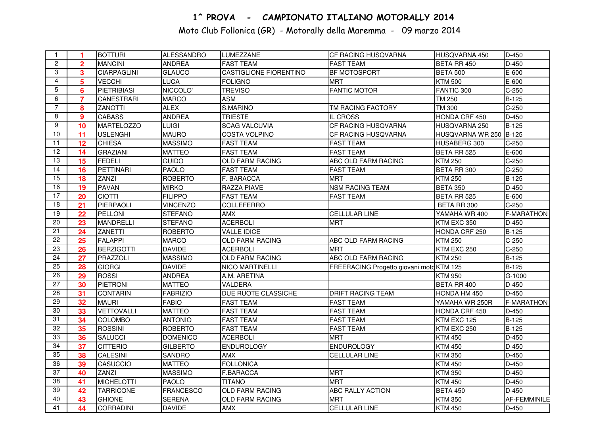## 1^ PROVA - CAMPIONATO ITALIANO MOTORALLY 2014

Moto Club Follonica (GR) - Motorally della Maremma - 09 marzo 2014

| $\mathbf{1}$    | 1              | <b>BOTTURI</b>     | <b>ALESSANDRO</b> | <b>LUMEZZANE</b>              | <b>CF RACING HUSQVARNA</b>               | HUSQVARNA 450          | $D-450$             |
|-----------------|----------------|--------------------|-------------------|-------------------------------|------------------------------------------|------------------------|---------------------|
| $\overline{2}$  | $\overline{2}$ | <b>MANCINI</b>     | <b>ANDREA</b>     | <b>FAST TEAM</b>              | <b>FAST TEAM</b>                         | BETA RR 450            | $D-450$             |
| 3               | 3              | <b>CIARPAGLINI</b> | <b>GLAUCO</b>     | <b>CASTIGLIONE FIORENTINO</b> | <b>BF MOTOSPORT</b>                      | <b>BETA 500</b>        | E-600               |
| $\overline{4}$  | 5              | <b>VECCHI</b>      | <b>LUCA</b>       | <b>FOLIGNO</b>                | <b>MRT</b>                               | <b>KTM 500</b>         | E-600               |
| $\overline{5}$  | 6              | <b>PIETRIBIASI</b> | NICCOLO'          | <b>TREVISO</b>                | <b>FANTIC MOTOR</b>                      | FANTIC 300             | $C-250$             |
| 6               | $\overline{7}$ | <b>CANESTRARI</b>  | <b>MARCO</b>      | <b>ASM</b>                    |                                          | <b>TM 250</b>          | $B-125$             |
| $\overline{7}$  | 8              | <b>ZANOTTI</b>     | <b>ALEX</b>       | S.MARINO                      | TM RACING FACTORY                        | <b>TM 300</b>          | $C-250$             |
| 8               | 9              | <b>CABASS</b>      | <b>ANDREA</b>     | <b>TRIESTE</b>                | IL CROSS                                 | HONDA CRF 450          | $D-450$             |
| 9               | 10             | MARTELOZZO         | <b>LUIGI</b>      | <b>SCAG VALCUVIA</b>          | CF RACING HUSQVARNA                      | HUSQVARNA 250          | <b>B-125</b>        |
| 10              | 11             | <b>USLENGHI</b>    | <b>MAURO</b>      | <b>COSTA VOLPINO</b>          | CF RACING HUSQVARNA                      | HUSQVARNA WR 250 B-125 |                     |
| 11              | 12             | <b>CHIESA</b>      | <b>MASSIMO</b>    | <b>FAST TEAM</b>              | <b>FAST TEAM</b>                         | HUSABERG 300           | $C-250$             |
| $\overline{12}$ | 14             | <b>GRAZIANI</b>    | <b>MATTEO</b>     | <b>FAST TEAM</b>              | <b>FAST TEAM</b>                         | BETA RR 525            | E-600               |
| $\overline{13}$ | 15             | <b>FEDELI</b>      | <b>GUIDO</b>      | <b>OLD FARM RACING</b>        | ABC OLD FARM RACING                      | <b>KTM 250</b>         | $C-250$             |
| 14              | 16             | PETTINARI          | PAOLO             | <b>FAST TEAM</b>              | <b>FAST TEAM</b>                         | BETA RR 300            | $C-250$             |
| 15              | 18             | ZANZI              | <b>ROBERTO</b>    | F. BARACCA                    | <b>MRT</b>                               | <b>KTM 250</b>         | <b>B-125</b>        |
| 16              | 19             | <b>PAVAN</b>       | <b>MIRKO</b>      | <b>RAZZA PIAVE</b>            | <b>NSM RACING TEAM</b>                   | <b>BETA 350</b>        | $D-450$             |
| $\overline{17}$ | 20             | <b>CIOTTI</b>      | <b>FILIPPO</b>    | <b>FAST TEAM</b>              | <b>FAST TEAM</b>                         | BETA RR 525            | E-600               |
| 18              | 21             | PIERPAOLI          | <b>VINCENZO</b>   | <b>COLLEFERRO</b>             |                                          | BETA RR 300            | $C-250$             |
| 19              | 22             | PELLONI            | <b>STEFANO</b>    | <b>AMX</b>                    | <b>CELLULAR LINE</b>                     | YAMAHA WR 400          | <b>F-MARATHON</b>   |
| 20              | 23             | <b>MANDRELLI</b>   | <b>STEFANO</b>    | <b>ACERBOLI</b>               | <b>MRT</b>                               | KTM EXC 350            | $D-450$             |
| $\overline{21}$ | 24             | <b>ZANETTI</b>     | <b>ROBERTO</b>    | <b>VALLE IDICE</b>            |                                          | HONDA CRF 250          | $B-125$             |
| $\overline{22}$ | 25             | <b>FALAPPI</b>     | <b>MARCO</b>      | <b>OLD FARM RACING</b>        | ABC OLD FARM RACING                      | <b>KTM 250</b>         | $C-250$             |
| 23              | 26             | <b>BERZIGOTTI</b>  | <b>DAVIDE</b>     | <b>ACERBOLI</b>               | <b>MRT</b>                               | KTM EXC 250            | $C-250$             |
| 24              | 27             | PRAZZOLI           | <b>MASSIMO</b>    | <b>OLD FARM RACING</b>        | ABC OLD FARM RACING                      | <b>KTM 250</b>         | $B-125$             |
| 25              | 28             | <b>GIORGI</b>      | <b>DAVIDE</b>     | <b>NICO MARTINELLI</b>        | FREERACING Progetto giovani moto KTM 125 |                        | <b>B-125</b>        |
| $\overline{26}$ | 29             | <b>ROSSI</b>       | <b>ANDREA</b>     | A.M. ARETINA                  |                                          | <b>KTM 950</b>         | G-1000              |
| $\overline{27}$ | 30             | PIETRONI           | <b>MATTEO</b>     | VALDERA                       |                                          | BETA RR 400            | D-450               |
| $\overline{28}$ | 31             | <b>CONTARIN</b>    | <b>FABRIZIO</b>   | DUE RUOTE CLASSICHE           | <b>DRIFT RACING TEAM</b>                 | HONDA HM 450           | $D-450$             |
| 29              | 32             | <b>MAURI</b>       | <b>FABIO</b>      | <b>FAST TEAM</b>              | <b>FAST TEAM</b>                         | YAMAHA WR 250R         | <b>F-MARATHON</b>   |
| 30              | 33             | <b>VETTOVALLI</b>  | <b>MATTEO</b>     | <b>FAST TEAM</b>              | <b>FAST TEAM</b>                         | HONDA CRF 450          | $D-450$             |
| $\overline{31}$ | 34             | <b>COLOMBO</b>     | <b>ANTONIO</b>    | <b>FAST TEAM</b>              | <b>FAST TEAM</b>                         | KTM EXC 125            | $B-125$             |
| $\overline{32}$ | 35             | <b>ROSSINI</b>     | <b>ROBERTO</b>    | <b>FAST TEAM</b>              | <b>FAST TEAM</b>                         | KTM EXC 250            | $B-125$             |
| 33              | 36             | <b>SALUCCI</b>     | <b>DOMENICO</b>   | <b>ACERBOLI</b>               | <b>MRT</b>                               | <b>KTM 450</b>         | $D-450$             |
| $\overline{34}$ | 37             | <b>CITTERIO</b>    | <b>GILBERTO</b>   | <b>ENDUROLOGY</b>             | <b>ENDUROLOGY</b>                        | <b>KTM 450</b>         | $D-450$             |
| $\overline{35}$ | 38             | <b>CALESINI</b>    | <b>SANDRO</b>     | <b>AMX</b>                    | <b>CELLULAR LINE</b>                     | <b>KTM 350</b>         | $D-450$             |
| $\overline{36}$ | 39             | <b>CASUCCIO</b>    | <b>MATTEO</b>     | <b>FOLLONICA</b>              |                                          | <b>KTM 450</b>         | $D-450$             |
| $\overline{37}$ | 40             | ZANZI              | <b>MASSIMO</b>    | F.BARACCA                     | <b>MRT</b>                               | <b>KTM 350</b>         | $D-450$             |
| 38              | 41             | <b>MICHELOTTI</b>  | <b>PAOLO</b>      | <b>TITANO</b>                 | <b>MRT</b>                               | <b>KTM 450</b>         | $D-450$             |
| 39              | 42             | <b>TARRICONE</b>   | <b>FRANCESCO</b>  | <b>OLD FARM RACING</b>        | ABC RALLY ACTION                         | <b>BETA 450</b>        | $D-450$             |
| 40              | 43             | <b>GHIONE</b>      | <b>SERENA</b>     | <b>OLD FARM RACING</b>        | <b>MRT</b>                               | <b>KTM 350</b>         | <b>AF-FEMMINILE</b> |
| 41              | 44             | CORRADINI          | <b>DAVIDE</b>     | <b>AMX</b>                    | <b>CELLULAR LINE</b>                     | <b>KTM 450</b>         | $D-450$             |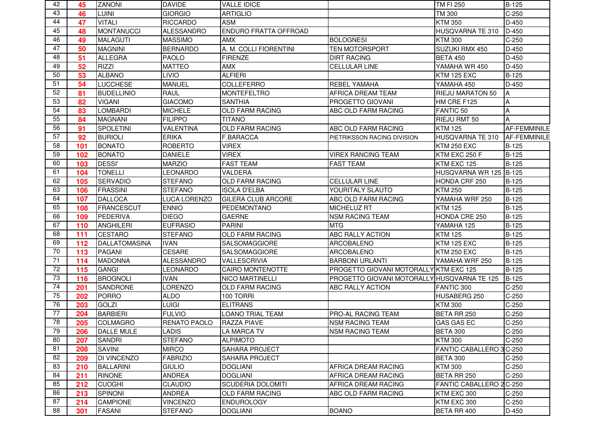| 42              | 45  | <b>ZANONI</b>        | <b>DAVIDE</b>     | <b>VALLE IDICE</b>           |                                             | TM FI 250               | B-125               |
|-----------------|-----|----------------------|-------------------|------------------------------|---------------------------------------------|-------------------------|---------------------|
| 43              | 46  | LUINI                | <b>GIORGIO</b>    | ARTIGLIO                     |                                             | TM 300                  | $C-250$             |
| 44              | 47  | <b>VITALI</b>        | <b>RICCARDO</b>   | <b>ASM</b>                   |                                             | <b>KTM 350</b>          | D-450               |
| 45              | 48  | <b>MONTANUCCI</b>    | <b>ALESSANDRO</b> | <b>ENDURO FRATTA OFFROAD</b> |                                             | HUSQVARNA TE 310        | D-450               |
| 46              | 49  | <b>MALAGUTI</b>      | <b>MASSIMO</b>    | <b>AMX</b>                   | <b>BOLOGNESI</b>                            | <b>KTM 300</b>          | $C-250$             |
| 47              | 50  | <b>MAGNINI</b>       | <b>BERNARDO</b>   | A. M. COLLI FIORENTINI       | <b>TEN MOTORSPORT</b>                       | SUZUKI RMX 450          | D-450               |
| 48              | 51  | <b>ALLEGRA</b>       | PAOLO             | <b>FIRENZE</b>               | <b>DIRT RACING</b>                          | <b>BETA 450</b>         | D-450               |
| 49              | 52  | <b>RIZZI</b>         | <b>MATTEO</b>     | AMX                          | <b>CELLULAR LINE</b>                        | YAMAHA WR 450           | D-450               |
| 50              | 53  | <b>ALBANO</b>        | <b>LIVIO</b>      | <b>ALFIERI</b>               |                                             | <b>KTM 125 EXC</b>      | B-125               |
| 51              | 54  | <b>LUCCHESE</b>      | <b>MANUEL</b>     | <b>COLLEFERRO</b>            | <b>REBEL YAMAHA</b>                         | YAMAHA 450              | D-450               |
| 52              | 81  | <b>BUDELLINIO</b>    | <b>RAUL</b>       | <b>MONTEFELTRO</b>           | AFRICA DREAM TEAM                           | RIEJU MARATON 50        | ΙA                  |
| 53              | 82  | <b>VIGANI</b>        | <b>GIACOMO</b>    | <b>SANTHIA</b>               | <b>PROGETTO GIOVANI</b>                     | HM CRE F125             | A                   |
| 54              | 83  | <b>LOMBARDI</b>      | <b>MICHELE</b>    | <b>OLD FARM RACING</b>       | ABC OLD FARM RACING                         | FANTIC <sub>50</sub>    | A                   |
| 55              | 84  | <b>MAGNANI</b>       | <b>FILIPPO</b>    | <b>TITANO</b>                |                                             | RIEJU RMT 50            | A                   |
| 56              | 91  | SPOLETINI            | <b>VALENTINA</b>  | <b>OLD FARM RACING</b>       | ABC OLD FARM RACING                         | <b>KTM 125</b>          | AF-FEMMINILE        |
| 57              | 92  | <b>BURIOLI</b>       | <b>ERIKA</b>      | <b>F.BARACCA</b>             | PIETRIKSSON RACING DIVISION                 | HUSQVARNA TE 310        | <b>AF-FEMMINILE</b> |
| 58              | 101 | <b>BONATO</b>        | <b>ROBERTO</b>    | <b>VIREX</b>                 |                                             | <b>KTM 250 EXC</b>      | B-125               |
| 59              | 102 | <b>BONATO</b>        | <b>DANIELE</b>    | <b>VIREX</b>                 | <b>VIREX RANCING TEAM</b>                   | KTM EXC 250 F           | <b>B-125</b>        |
| 60              | 103 | <b>DESSI'</b>        | <b>MARZIO</b>     | <b>FAST TEAM</b>             | <b>FAST TEAM</b>                            | KTM EXC 125             | <b>B-125</b>        |
| 61              | 104 | <b>TONELLI</b>       | LEONARDO          | VALDERA                      |                                             | HUSQVARNA WR 125 B-125  |                     |
| 62              | 105 | <b>SERVADIO</b>      | <b>STEFANO</b>    | <b>OLD FARM RACING</b>       | <b>CELLULAR LINE</b>                        | HONDA CRF 250           | <b>B-125</b>        |
| 63              | 106 | <b>FRASSINI</b>      | <b>STEFANO</b>    | <b>ISOLA D'ELBA</b>          | YOURITALY SLAUTO                            | <b>KTM 250</b>          | <b>B-125</b>        |
| 64              | 107 | <b>DALLOCA</b>       | LUCA LORENZO      | <b>GILERA CLUB ARCORE</b>    | ABC OLD FARM RACING                         | YAMAHA WRF 250          | B-125               |
| 65              | 108 | <b>FRANCESCUT</b>    | <b>ENNIO</b>      | PEDEMONTANO                  | <b>MICHELUZ RT</b>                          | <b>KTM 125</b>          | <b>B-125</b>        |
| 66              | 109 | PEDERIVA             | <b>DIEGO</b>      | <b>GAERNE</b>                | <b>NSM RACING TEAM</b>                      | HONDA CRE 250           | B-125               |
| 67              | 110 | <b>ANGHILERI</b>     | <b>EUFRASIO</b>   | <b>PARINI</b>                | <b>MTG</b>                                  | YAMAHA 125              | B-125               |
| 68              | 111 | <b>CESTARO</b>       | <b>STEFANO</b>    | <b>OLD FARM RACING</b>       | <b>ABC RALLY ACTION</b>                     | <b>KTM 125</b>          | B-125               |
| 69              | 112 | <b>DALLATOMASINA</b> | <b>IVAN</b>       | <b>SALSOMAGGIORE</b>         | <b>ARCOBALENO</b>                           | <b>KTM 125 EXC</b>      | <b>B-125</b>        |
| 70              | 113 | <b>PAGANI</b>        | <b>CESARE</b>     | <b>SALSOMAGGIORE</b>         | <b>ARCOBALENO</b>                           | <b>KTM 250 EXC</b>      | B-125               |
| 71              | 114 | <b>MADONNA</b>       | <b>ALESSANDRO</b> | VALLESCRIVIA                 | <b>BARBONI URLANTI</b>                      | YAMAHA WRF 250          | <b>B-125</b>        |
| 72              | 115 | <b>GANGI</b>         | <b>LEONARDO</b>   | CAIRO MONTENOTTE             | PROGETTO GIOVANI MOTORALLY KTM EXC 125      |                         | B-125               |
| 73              | 116 | <b>BROGNOLI</b>      | <b>IVAN</b>       | <b>NICO MARTINELLI</b>       | PROGETTO GIOVANI MOTORALLY HUSQVARNA TE 125 |                         | <b>B-125</b>        |
| $\overline{74}$ | 201 | <b>SANDRONE</b>      | <b>LORENZO</b>    | <b>OLD FARM RACING</b>       | <b>ABC RALLY ACTION</b>                     | FANTIC 300              | $C-250$             |
| 75              | 202 | <b>PORRO</b>         | <b>ALDO</b>       | 100 TORRI                    |                                             | HUSABERG 250            | $C-250$             |
| 76              | 203 | <b>GOLZI</b>         | <b>LUIGI</b>      | <b>ELITRANS</b>              |                                             | <b>KTM 300</b>          | $C-250$             |
| 77              | 204 | <b>BARBIERI</b>      | <b>FULVIO</b>     | LOANO TRIAL TEAM             | <b>PRO-AL RACING TEAM</b>                   | BETA RR 250             | $C-250$             |
| 78              | 205 | <b>COLMAGRO</b>      | RENATO PAOLO      | <b>RAZZA PIAVE</b>           | <b>NSM RACING TEAM</b>                      | <b>GAS GAS EC</b>       | $C-250$             |
| 79              | 206 | <b>DALLE MULE</b>    | <b>LADIS</b>      | <b>LA MARCA TV</b>           | <b>NSM RACING TEAM</b>                      | <b>BETA 300</b>         | $C-250$             |
| 80              | 207 | <b>SANDRI</b>        | <b>STEFANO</b>    | <b>ALPIMOTO</b>              |                                             | <b>KTM 300</b>          | $C-250$             |
| 81              | 208 | <b>SAVINI</b>        | <b>MIRCO</b>      | <b>SAHARA PROJECT</b>        |                                             | <b>FANTIC CABALLERO</b> | 3 C-250             |
| 82              | 209 | <b>DI VINCENZO</b>   | <b>FABRIZIO</b>   | SAHARA PROJECT               |                                             | <b>BETA 300</b>         | $C-250$             |
| 83              | 210 | <b>BALLARINI</b>     | <b>GIULIO</b>     | <b>DOGLIANI</b>              | AFRICA DREAM RACING                         | <b>KTM 300</b>          | $C-250$             |
| 84              | 211 | <b>RINONE</b>        | <b>ANDREA</b>     | <b>DOGLIANI</b>              | AFRICA DREAM RACING                         | BETA RR 250             | $C-250$             |
| 85              | 212 | <b>CUOGHI</b>        | <b>CLAUDIO</b>    | <b>SCUDERIA DOLOMITI</b>     | AFRICA DREAM RACING                         | FANTIC CABALLERO 2C-250 |                     |
| 86              | 213 | <b>SPINONI</b>       | <b>ANDREA</b>     | <b>OLD FARM RACING</b>       | ABC OLD FARM RACING                         | KTM EXC 300             | $C-250$             |
| 87              | 214 | <b>CAMPIONE</b>      | <b>VINCENZO</b>   | <b>ENDUROLOGY</b>            |                                             | KTM EXC 300             | $C-250$             |
| 88              | 301 | <b>FASANI</b>        | <b>STEFANO</b>    | <b>DOGLIANI</b>              | <b>BOANO</b>                                | BETA RR 400             | D-450               |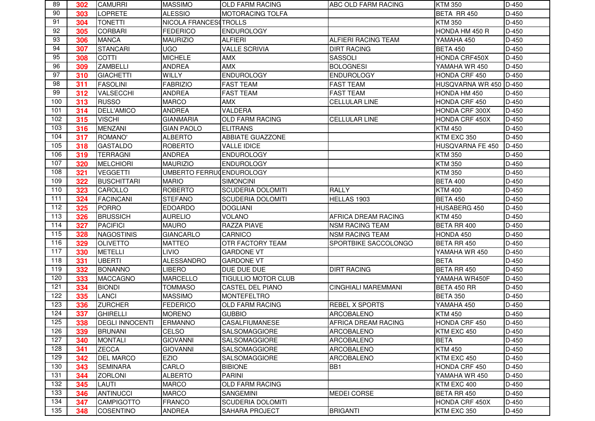| 89  | 302 | <b>CAMURRI</b>         | <b>MASSIMO</b>           | <b>OLD FARM RACING</b>   | <b>ABC OLD FARM RACING</b> | <b>KTM 350</b>          | D-450   |
|-----|-----|------------------------|--------------------------|--------------------------|----------------------------|-------------------------|---------|
| 90  | 303 | <b>LOPRETE</b>         | <b>ALESSIO</b>           | IMOTORACING TOLFA        |                            | BETA RR 450             | $D-450$ |
| 91  | 304 | <b>TONETTI</b>         | NICOLA FRANCES(TROLLS    |                          |                            | <b>KTM 350</b>          | D-450   |
| 92  | 305 | <b>CORBARI</b>         | <b>FEDERICO</b>          | <b>ENDUROLOGY</b>        |                            | HONDA HM 450 R          | D-450   |
| 93  | 306 | <b>MANCA</b>           | <b>MAURIZIO</b>          | <b>ALFIERI</b>           | <b>ALFIERI RACING TEAM</b> | YAMAHA 450              | $D-450$ |
| 94  | 307 | <b>STANCARI</b>        | <b>UGO</b>               | <b>VALLE SCRIVIA</b>     | <b>DIRT RACING</b>         | <b>BETA 450</b>         | D-450   |
| 95  | 308 | <b>COTTI</b>           | <b>MICHELE</b>           | <b>AMX</b>               | SASSOLI                    | HONDA CRF450X           | D-450   |
| 96  | 309 | <b>ZAMBELLI</b>        | <b>ANDREA</b>            | <b>AMX</b>               | <b>BOLOGNESI</b>           | YAMAHA WR 450           | D-450   |
| 97  | 310 | <b>GIACHETTI</b>       | WILLY                    | <b>ENDUROLOGY</b>        | <b>ENDUROLOGY</b>          | HONDA CRF 450           | D-450   |
| 98  | 311 | <b>FASOLINI</b>        | <b>FABRIZIO</b>          | <b>FAST TEAM</b>         | <b>FAST TEAM</b>           | HUSQVARNA WR 450 D-450  |         |
| 99  | 312 | VALSECCHI              | <b>ANDREA</b>            | <b>FAST TEAM</b>         | <b>FAST TEAM</b>           | HONDA HM 450            | D-450   |
| 100 | 313 | <b>RUSSO</b>           | <b>MARCO</b>             | <b>AMX</b>               | <b>CELLULAR LINE</b>       | HONDA CRF 450           | D-450   |
| 101 | 314 | <b>DELL'AMICO</b>      | <b>ANDREA</b>            | VALDERA                  |                            | HONDA CRF 300X          | D-450   |
| 102 | 315 | <b>VISCHI</b>          | <b>GIANMARIA</b>         | <b>OLD FARM RACING</b>   | <b>CELLULAR LINE</b>       | HONDA CRF 450X          | D-450   |
| 103 | 316 | <b>MENZANI</b>         | <b>GIAN PAOLO</b>        | <b>ELITRANS</b>          |                            | <b>KTM 450</b>          | D-450   |
| 104 | 317 | ROMANO'                | <b>ALBERTO</b>           | <b>ABBIATE GUAZZONE</b>  |                            | KTM EXC 350             | D-450   |
| 105 | 318 | <b>GASTALDO</b>        | <b>ROBERTO</b>           | <b>VALLE IDICE</b>       |                            | <b>HUSQVARNA FE 450</b> | $D-450$ |
| 106 | 319 | <b>TERRAGNI</b>        | <b>ANDREA</b>            | <b>ENDUROLOGY</b>        |                            | <b>KTM 350</b>          | D-450   |
| 107 | 320 | <b>MELCHIORI</b>       | <b>MAURIZIO</b>          | <b>ENDUROLOGY</b>        |                            | <b>KTM 350</b>          | D-450   |
| 108 | 321 | <b>VEGGETTI</b>        | UMBERTO FERRUCENDUROLOGY |                          |                            | <b>KTM 350</b>          | $D-450$ |
| 109 | 322 | <b>BUSCHITTARI</b>     | <b>MARIO</b>             | <b>SIMONCINI</b>         |                            | <b>BETA 400</b>         | D-450   |
| 110 | 323 | <b>CAROLLO</b>         | <b>ROBERTO</b>           | <b>SCUDERIA DOLOMITI</b> | <b>RALLY</b>               | <b>KTM 400</b>          | D-450   |
| 111 | 324 | <b>FACINCANI</b>       | <b>STEFANO</b>           | <b>SCUDERIA DOLOMITI</b> | HELLAS 1903                | <b>BETA 450</b>         | D-450   |
| 112 | 325 | <b>PORRO</b>           | <b>EDOARDO</b>           | <b>DOGLIANI</b>          |                            | HUSABERG 450            | D-450   |
| 113 | 326 | <b>BRUSSICH</b>        | <b>AURELIO</b>           | <b>VOLANO</b>            | AFRICA DREAM RACING        | <b>KTM 450</b>          | D-450   |
| 114 | 327 | <b>PACIFICI</b>        | <b>MAURO</b>             | <b>RAZZA PIAVE</b>       | <b>NSM RACING TEAM</b>     | BETA RR 400             | D-450   |
| 115 | 328 | <b>NAGOSTINIS</b>      | <b>GIANCARLO</b>         | <b>CARNICO</b>           | <b>NSM RACING TEAM</b>     | HONDA 450               | D-450   |
| 116 | 329 | <b>OLIVETTO</b>        | <b>MATTEO</b>            | <b>OTR FACTORY TEAM</b>  | SPORTBIKE SACCOLONGO       | BETA RR 450             | D-450   |
| 117 | 330 | <b>METELLI</b>         | <b>LIVIO</b>             | <b>GARDONE VT</b>        |                            | YAMAHA WR 450           | D-450   |
| 118 | 331 | <b>UBERTI</b>          | <b>ALESSANDRO</b>        | <b>GARDONE VT</b>        |                            | <b>BETA</b>             | $D-450$ |
| 119 | 332 | <b>BONANNO</b>         | <b>LIBERO</b>            | DUE DUE DUE              | <b>DIRT RACING</b>         | BETA RR 450             | D-450   |
| 120 | 333 | MACCAGNO               | <b>MARCELLO</b>          | TIGULLIO MOTOR CLUB      |                            | YAMAHA WR450F           | D-450   |
| 121 | 334 | <b>BIONDI</b>          | <b>TOMMASO</b>           | CASTEL DEL PIANO         | <b>CINGHIALI MAREMMANI</b> | BETA 450 RR             | D-450   |
| 122 | 335 | <b>LANCI</b>           | <b>MASSIMO</b>           | <b>MONTEFELTRO</b>       |                            | <b>BETA 350</b>         | D-450   |
| 123 | 336 | <b>ZURCHER</b>         | <b>FEDERICO</b>          | <b>OLD FARM RACING</b>   | <b>REBEL X SPORTS</b>      | YAMAHA 450              | D-450   |
| 124 | 337 | <b>GHIRELLI</b>        | <b>MORENO</b>            | <b>GUBBIO</b>            | ARCOBALENO                 | <b>KTM 450</b>          | D-450   |
| 125 | 338 | <b>DEGLI INNOCENTI</b> | ERMANNO                  | <b>CASALFIUMANESE</b>    | AFRICA DREAM RACING        | HONDA CRF 450           | D-450   |
| 126 | 339 | <b>BRUNANI</b>         | <b>CELSO</b>             | SALSOMAGGIORE            | <b>ARCOBALENO</b>          | KTM EXC 450             | D-450   |
| 127 | 340 | <b>MONTALI</b>         | <b>GIOVANNI</b>          | <b>SALSOMAGGIORE</b>     | <b>ARCOBALENO</b>          | <b>BETA</b>             | D-450   |
| 128 | 341 | <b>ZECCA</b>           | <b>GIOVANNI</b>          | <b>SALSOMAGGIORE</b>     | ARCOBALENO                 | <b>KTM 450</b>          | D-450   |
| 129 | 342 | <b>DEL MARCO</b>       | EZIO                     | SALSOMAGGIORE            | <b>ARCOBALENO</b>          | KTM EXC 450             | D-450   |
| 130 | 343 | <b>SEMINARA</b>        | CARLO                    | <b>BIBIONE</b>           | BB <sub>1</sub>            | HONDA CRF 450           | D-450   |
| 131 | 344 | <b>ZORLONI</b>         | <b>ALBERTO</b>           | <b>PARINI</b>            |                            | YAMAHA WR 450           | D-450   |
| 132 | 345 | <b>LAUTI</b>           | <b>MARCO</b>             | OLD FARM RACING          |                            | KTM EXC 400             | D-450   |
| 133 | 346 | <b>ANTINUCCI</b>       | <b>MARCO</b>             | <b>SANGEMINI</b>         | MEDEI CORSE                | BETA RR 450             | D-450   |
| 134 | 347 | <b>CAMPIGOTTO</b>      | <b>FRANCO</b>            | SCUDERIA DOLOMITI        |                            | HONDA CRF 450X          | D-450   |
| 135 | 348 | <b>COSENTINO</b>       | <b>ANDREA</b>            | <b>SAHARA PROJECT</b>    | <b>BRIGANTI</b>            | KTM EXC 350             | D-450   |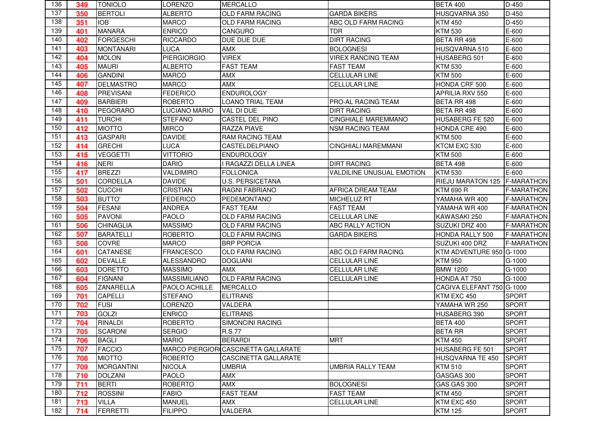| 136 | 349 | <b>TONIOLO</b>    | <b>LORENZO</b>       | <b>MERCALLO</b>                     |                                  | <b>BETA 400</b>           | D-450              |
|-----|-----|-------------------|----------------------|-------------------------------------|----------------------------------|---------------------------|--------------------|
| 137 | 350 | <b>BERTOLI</b>    | <b>ALBERTO</b>       | <b>OLD FARM RACING</b>              | <b>GARDA BIKERS</b>              | HUSQVARNA 350             | D-450              |
| 138 | 351 | <b>IOB</b>        | <b>MARCO</b>         | <b>OLD FARM RACING</b>              | ABC OLD FARM RACING              | <b>KTM 450</b>            | $D-450$            |
| 139 | 401 | <b>MANARA</b>     | <b>ENRICO</b>        | <b>CANGURO</b>                      | <b>TDR</b>                       | <b>KTM 530</b>            | E-600              |
| 140 | 402 | <b>FORGESCHI</b>  | <b>RICCARDO</b>      | DUE DUE DUE                         | <b>DIRT RACING</b>               | <b>BETA RR 498</b>        | E-600              |
| 141 | 403 | <b>MONTANARI</b>  | <b>LUCA</b>          | <b>AMX</b>                          | <b>BOLOGNESI</b>                 | HUSQVARNA 510             | E-600              |
| 142 | 404 | <b>MOLON</b>      | <b>PIERGIORGIO</b>   | <b>VIREX</b>                        | <b>VIREX RANCING TEAM</b>        | HUSABERG 501              | E-600              |
| 143 | 405 | <b>MAURI</b>      | <b>ALBERTO</b>       | <b>FAST TEAM</b>                    | <b>FAST TEAM</b>                 | <b>KTM 530</b>            | E-600              |
| 144 | 406 | <b>GANDINI</b>    | <b>MARCO</b>         | <b>AMX</b>                          | <b>CELLULAR LINE</b>             | <b>KTM 500</b>            | E-600              |
| 145 | 407 | <b>DELMASTRO</b>  | <b>MARCO</b>         | <b>AMX</b>                          | <b>CELLULAR LINE</b>             | HONDA CRF 500             | E-600              |
| 146 | 408 | <b>PREVISANI</b>  | <b>FEDERICO</b>      | <b>ENDUROLOGY</b>                   |                                  | <b>APRILIA RXV 550</b>    | E-600              |
| 147 | 409 | <b>BARBIERI</b>   | <b>ROBERTO</b>       | <b>LOANO TRIAL TEAM</b>             | PRO-AL RACING TEAM               | <b>BETA RR 498</b>        | E-600              |
| 148 | 410 | PEGORARO          | <b>LUCIANO MARIO</b> | VAL DI DUE                          | <b>DIRT RACING</b>               | <b>BETA RR 498</b>        | E-600              |
| 149 | 411 | <b>TURCHI</b>     | <b>STEFANO</b>       | <b>CASTEL DEL PINO</b>              | <b>CINGHIALE MAREMMANO</b>       | HUSABERG FE 520           | E-600              |
| 150 | 412 | <b>MIOTTO</b>     | <b>MIRCO</b>         | <b>RAZZA PIAVE</b>                  | <b>NSM RACING TEAM</b>           | HONDA CRE 490             | E-600              |
| 151 | 413 | <b>GASPARI</b>    | <b>DAVIDE</b>        | <b>RAM RACING TEAM</b>              |                                  | <b>KTM 500</b>            | E-600              |
| 152 | 414 | <b>GRECHI</b>     | <b>LUCA</b>          | <b>CASTELDELPIANO</b>               | <b>CINGHIALI MAREMMANI</b>       | KTCM EXC 530              | E-600              |
| 153 | 415 | <b>VEGGETTI</b>   | <b>VITTORIO</b>      | <b>ENDUROLOGY</b>                   |                                  | <b>KTM 500</b>            | E-600              |
| 154 | 416 | <b>NERI</b>       | <b>DARIO</b>         | I RAGAZZI DELLA LINEA               | <b>DIRT RACING</b>               | <b>BETA 498</b>           | E-600              |
| 155 | 417 | <b>BREZZI</b>     | VALDIMIRO            | <b>FOLLONICA</b>                    | <b>VALDILINE UNUSUAL EMOTION</b> | <b>KTM 530</b>            | E-600              |
| 156 | 501 | <b>CORDELLA</b>   | <b>DAVIDE</b>        | <b>U.S. PERSICETANA</b>             |                                  | <b>RIEJU MARATON 125</b>  | <b>IF-MARATHON</b> |
| 157 | 502 | <b>CUCCHI</b>     | <b>CRISTIAN</b>      | <b>RAGNI FABRIANO</b>               | AFRICA DREAM TEAM                | <b>KTM 690 R</b>          | <b>F-MARATHON</b>  |
| 158 | 503 | <b>BUTTO'</b>     | <b>FEDERICO</b>      | PEDEMONTANO                         | <b>MICHELUZ RT</b>               | YAMAHA WR 400             | <b>F-MARATHON</b>  |
| 159 | 504 | <b>FESANI</b>     | <b>ANDREA</b>        | <b>FAST TEAM</b>                    | <b>FAST TEAM</b>                 | YAMAHA WR 400             | <b>F-MARATHON</b>  |
| 160 | 505 | <b>PAVONI</b>     | <b>PAOLO</b>         | <b>OLD FARM RACING</b>              | <b>CELLULAR LINE</b>             | KAWASAKI 250              | <b>F-MARATHON</b>  |
| 161 | 506 | <b>CHINAGLIA</b>  | <b>MASSIMO</b>       | <b>OLD FARM RACING</b>              | <b>ABC RALLY ACTION</b>          | SUZUKI DRZ 400            | <b>F-MARATHON</b>  |
| 162 | 507 | <b>BARATELLI</b>  | <b>ROBERTO</b>       | <b>OLD FARM RACING</b>              | <b>GARDA BIKERS</b>              | <b>HONDA RALLY 500</b>    | <b>F-MARATHON</b>  |
| 163 | 508 | <b>COVRE</b>      | <b>MARCO</b>         | <b>BRP PORCIA</b>                   |                                  | SUZUKI 400 DRZ            | <b>F-MARATHON</b>  |
| 164 | 601 | <b>CATANESE</b>   | <b>FRANCESCO</b>     | <b>OLD FARM RACING</b>              | ABC OLD FARM RACING              | KTM ADVENTURE 950 G-1000  |                    |
| 165 | 602 | <b>DEVALLE</b>    | <b>ALESSANDRO</b>    | <b>DOGLIANI</b>                     | <b>CELLULAR LINE</b>             | <b>KTM 950</b>            | G-1000             |
| 166 | 603 | <b>DORETTO</b>    | <b>MASSIMO</b>       | <b>AMX</b>                          | <b>CELLULAR LINE</b>             | <b>BMW 1200</b>           | G-1000             |
| 167 | 604 | <b>FIGNANI</b>    | <b>MASSIMILIANO</b>  | <b>OLD FARM RACING</b>              | <b>CELLULAR LINE</b>             | HONDA AT 750              | G-1000             |
| 168 | 605 | ZANARELLA         | PAOLO ACHILLE        | <b>MERCALLO</b>                     |                                  | CAGIVA ELEFANT 750 G-1000 |                    |
| 169 | 701 | <b>CAPELLI</b>    | <b>STEFANO</b>       | <b>ELITRANS</b>                     |                                  | KTM EXC 450               | <b>SPORT</b>       |
| 170 | 702 | <b>FUSI</b>       | LORENZO              | VALDERA                             |                                  | YAMAHA WR 250             | <b>SPORT</b>       |
| 171 | 703 | <b>GOLZI</b>      | <b>ENRICO</b>        | <b>ELITRANS</b>                     |                                  | HUSABERG 390              | <b>SPORT</b>       |
| 172 | 704 | <b>RINALDI</b>    | ROBERTO              | SIMONCINI RACING                    |                                  | <b>BETA 400</b>           | <b>SPORT</b>       |
| 173 | 705 | <b>SCARONI</b>    | <b>SERGIO</b>        | <b>R.S.77</b>                       |                                  | <b>BETA RR</b>            | <b>SPORT</b>       |
| 174 | 706 | <b>BAGLI</b>      | <b>MARIO</b>         | <b>BERARDI</b>                      | <b>MRT</b>                       | <b>KTM 450</b>            | <b>SPORT</b>       |
| 175 | 707 | <b>FACCIO</b>     |                      | MARCO PIERGIOR CASCINETTA GALLARATE |                                  | HUSABERG FE 501           | <b>SPORT</b>       |
| 176 | 708 | <b>MIOTTO</b>     | <b>ROBERTO</b>       | <b>CASCINETTA GALLARATE</b>         |                                  | HUSQVARNA TE 450          | <b>SPORT</b>       |
| 177 | 709 | <b>MORGANTINI</b> | <b>NICOLA</b>        | <b>UMBRIA</b>                       | <b>UMBRIA RALLY TEAM</b>         | <b>KTM 510</b>            | <b>SPORT</b>       |
| 178 | 710 | <b>DOLZANI</b>    | <b>PAOLO</b>         | <b>AMX</b>                          |                                  | GASGAS 300                | <b>SPORT</b>       |
| 179 | 711 | <b>BERTI</b>      | <b>ROBERTO</b>       | <b>AMX</b>                          | <b>BOLOGNESI</b>                 | GAS GAS 300               | <b>SPORT</b>       |
| 180 | 712 | <b>ROSSINI</b>    | <b>FABIO</b>         | <b>FAST TEAM</b>                    | <b>FAST TEAM</b>                 | <b>KTM 450</b>            | <b>SPORT</b>       |
| 181 | 713 | <b>VILLA</b>      | <b>MANUEL</b>        | AMX                                 | <b>CELLULAR LINE</b>             | KTM EXC 450               | <b>SPORT</b>       |
| 182 | 714 | FERRETTI          | <b>FILIPPO</b>       | VALDERA                             |                                  | <b>KTM 125</b>            | <b>SPORT</b>       |